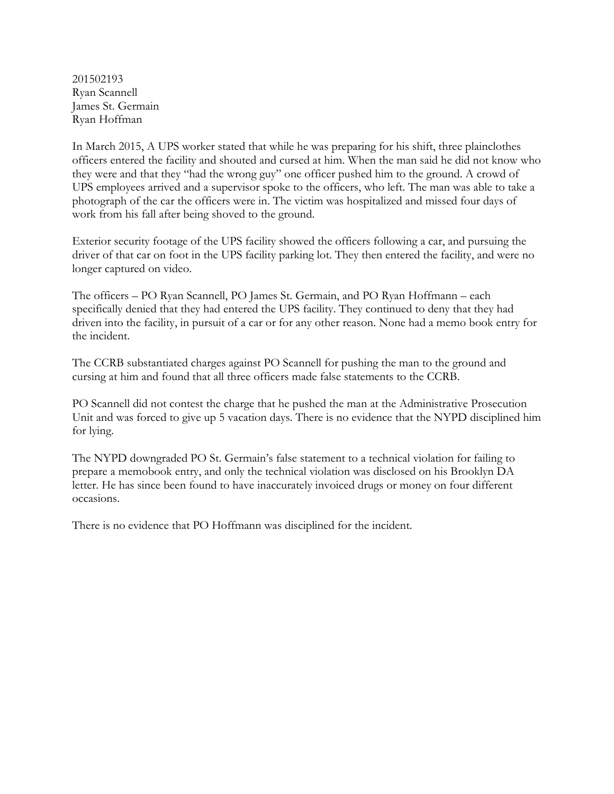201502193 Ryan Scannell James St. Germain Ryan Hoffman

In March 2015, A UPS worker stated that while he was preparing for his shift, three plainclothes officers entered the facility and shouted and cursed at him. When the man said he did not know who they were and that they "had the wrong guy" one officer pushed him to the ground. A crowd of UPS employees arrived and a supervisor spoke to the officers, who left. The man was able to take a photograph of the car the officers were in. The victim was hospitalized and missed four days of work from his fall after being shoved to the ground.

Exterior security footage of the UPS facility showed the officers following a car, and pursuing the driver of that car on foot in the UPS facility parking lot. They then entered the facility, and were no longer captured on video.

The officers – PO Ryan Scannell, PO James St. Germain, and PO Ryan Hoffmann – each specifically denied that they had entered the UPS facility. They continued to deny that they had driven into the facility, in pursuit of a car or for any other reason. None had a memo book entry for the incident.

The CCRB substantiated charges against PO Scannell for pushing the man to the ground and cursing at him and found that all three officers made false statements to the CCRB.

PO Scannell did not contest the charge that he pushed the man at the Administrative Prosecution Unit and was forced to give up 5 vacation days. There is no evidence that the NYPD disciplined him for lying.

The NYPD downgraded PO St. Germain's false statement to a technical violation for failing to prepare a memobook entry, and only the technical violation was disclosed on his Brooklyn DA letter. He has since been found to have inaccurately invoiced drugs or money on four different occasions.

There is no evidence that PO Hoffmann was disciplined for the incident.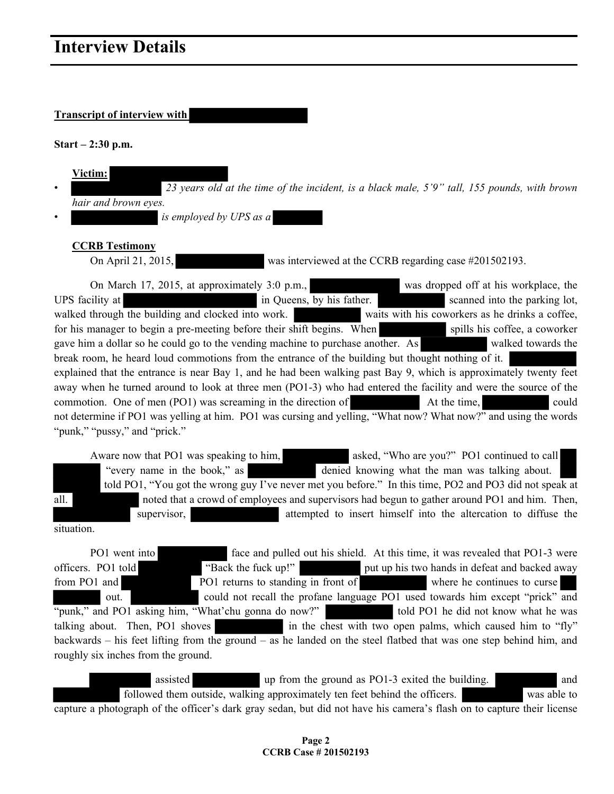## **Transcript of interview with**

**Start – 2:30 p.m.** 

| <b>Victim:</b>                                                                               |  |  |  |  |  |
|----------------------------------------------------------------------------------------------|--|--|--|--|--|
| 23 years old at the time of the incident, is a black male, 5'9" tall, 155 pounds, with brown |  |  |  |  |  |
| hair and brown eyes.                                                                         |  |  |  |  |  |
| is employed by UPS as a                                                                      |  |  |  |  |  |

## **CCRB Testimony**

On April 21, 2015, was interviewed at the CCRB regarding case #201502193.

On March 17, 2015, at approximately 3:0 p.m., was dropped off at his workplace, the UPS facility at in Queens, by his father. Scanned into the parking lot, walked through the building and clocked into work. waits with his coworkers as he drinks a coffee, for his manager to begin a pre-meeting before their shift begins. When spills his coffee, a coworker gave him a dollar so he could go to the vending machine to purchase another. As walked towards the break room, he heard loud commotions from the entrance of the building but thought nothing of it. explained that the entrance is near Bay 1, and he had been walking past Bay 9, which is approximately twenty feet away when he turned around to look at three men (PO1-3) who had entered the facility and were the source of the commotion. One of men (PO1) was screaming in the direction of At the time, could not determine if PO1 was yelling at him. PO1 was cursing and yelling, "What now? What now?" and using the words "punk," "pussy," and "prick."

Aware now that PO1 was speaking to him, asked, "Who are you?" PO1 continued to call "every name in the book," as denied knowing what the man was talking about. told PO1, "You got the wrong guy I've never met you before." In this time, PO2 and PO3 did not speak at all. noted that a crowd of employees and supervisors had begun to gather around PO1 and him. Then, supervisor, and attempted to insert himself into the altercation to diffuse the

situation.

PO1 went into face and pulled out his shield. At this time, it was revealed that PO1-3 were officers. PO1 told "Back the fuck up!" put up his two hands in defeat and backed away from PO1 and PO1 returns to standing in front of where he continues to curse out. could not recall the profane language PO1 used towards him except "prick" and

"punk," and PO1 asking him, "What'chu gonna do now?" told PO1 he did not know what he was talking about. Then, PO1 shoves in the chest with two open palms, which caused him to "fly" backwards – his feet lifting from the ground – as he landed on the steel flatbed that was one step behind him, and roughly six inches from the ground.

assisted up from the ground as PO1-3 exited the building. followed them outside, walking approximately ten feet behind the officers. was able to capture a photograph of the officer's dark gray sedan, but did not have his camera's flash on to capture their license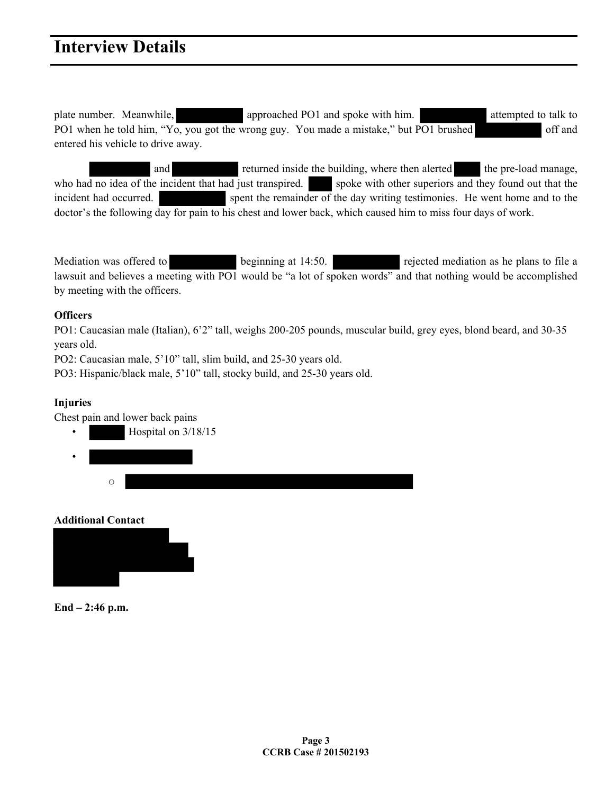plate number. Meanwhile, approached PO1 and spoke with him. attempted to talk to PO1 when he told him, "Yo, you got the wrong guy. You made a mistake," but PO1 brushed off and entered his vehicle to drive away.

and returned inside the building, where then alerted the pre-load manage, who had no idea of the incident that had just transpired. spoke with other superiors and they found out that the incident had occurred. spent the remainder of the day writing testimonies. He went home and to the doctor's the following day for pain to his chest and lower back, which caused him to miss four days of work.

Mediation was offered to beginning at 14:50. rejected mediation as he plans to file a lawsuit and believes a meeting with PO1 would be "a lot of spoken words" and that nothing would be accomplished by meeting with the officers.

## **Officers**

PO1: Caucasian male (Italian), 6'2" tall, weighs 200-205 pounds, muscular build, grey eyes, blond beard, and 30-35 years old.

PO2: Caucasian male, 5'10" tall, slim build, and 25-30 years old.

PO3: Hispanic/black male, 5'10" tall, stocky build, and 25-30 years old.

# **Injuries**

Chest pain and lower back pains



**Additional Contact** 



**End – 2:46 p.m.**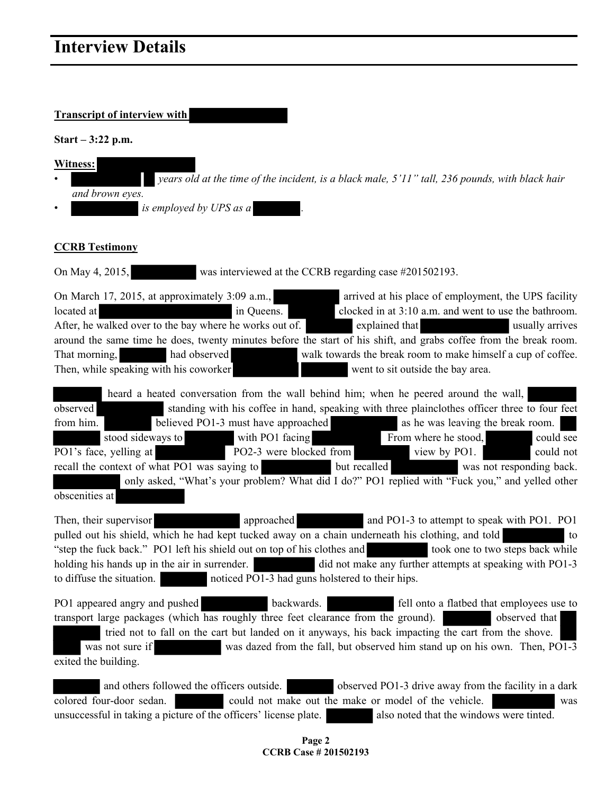# **Transcript of interview with**

**Start – 3:22 p.m.** 

| Witness:                                                                                           |
|----------------------------------------------------------------------------------------------------|
| years old at the time of the incident, is a black male, $5'11''$ tall, 236 pounds, with black hair |
| and brown eyes.                                                                                    |
| is employed by UPS as a                                                                            |

## **CCRB Testimony**

On May 4, 2015, was interviewed at the CCRB regarding case #201502193.

| On March 17, 2015, at approximately 3:09 a.m.,                                                                    |            | arrived at his place of employment, the UPS facility         |  |  |  |  |  |  |  |
|-------------------------------------------------------------------------------------------------------------------|------------|--------------------------------------------------------------|--|--|--|--|--|--|--|
| located at                                                                                                        | in Queens. | clocked in at 3:10 a.m. and went to use the bathroom.        |  |  |  |  |  |  |  |
| After, he walked over to the bay where he works out of.<br>explained that<br>usually arrives                      |            |                                                              |  |  |  |  |  |  |  |
| around the same time he does, twenty minutes before the start of his shift, and grabs coffee from the break room. |            |                                                              |  |  |  |  |  |  |  |
| had observed<br>That morning,                                                                                     |            | walk towards the break room to make himself a cup of coffee. |  |  |  |  |  |  |  |
| Then, while speaking with his coworker                                                                            |            | went to sit outside the bay area.                            |  |  |  |  |  |  |  |

|                                                                                                                                      |                                                                                               | heard a heated conversation from the wall behind him; when he peered around the wall,                                                            |  |                                   |  |           |  |  |  |
|--------------------------------------------------------------------------------------------------------------------------------------|-----------------------------------------------------------------------------------------------|--------------------------------------------------------------------------------------------------------------------------------------------------|--|-----------------------------------|--|-----------|--|--|--|
| observed                                                                                                                             | standing with his coffee in hand, speaking with three plainclothes officer three to four feet |                                                                                                                                                  |  |                                   |  |           |  |  |  |
| from him.                                                                                                                            | believed PO1-3 must have approached                                                           |                                                                                                                                                  |  | as he was leaving the break room. |  |           |  |  |  |
|                                                                                                                                      | stood sideways to                                                                             | with PO1 facing                                                                                                                                  |  | From where he stood,              |  | could see |  |  |  |
|                                                                                                                                      | PO1's face, yelling at                                                                        | PO2-3 were blocked from<br><b>All Card of Contract of Contract of Contract of Contract of Contract of Contract of Contract of Contract of Co</b> |  | view by PO1.                      |  | could not |  |  |  |
| recall the context of what PO1 was saying to<br>was not responding back.<br>but recalled<br><u>i a strandardi sa shekara ta 1989</u> |                                                                                               |                                                                                                                                                  |  |                                   |  |           |  |  |  |
| only asked, "What's your problem? What did I do?" PO1 replied with "Fuck you," and yelled other                                      |                                                                                               |                                                                                                                                                  |  |                                   |  |           |  |  |  |
| obscenities at                                                                                                                       |                                                                                               |                                                                                                                                                  |  |                                   |  |           |  |  |  |

Then, their supervisor approached and PO1-3 to attempt to speak with PO1. PO1 pulled out his shield, which he had kept tucked away on a chain underneath his clothing, and told to "step the fuck back." PO1 left his shield out on top of his clothes and took one to two steps back while holding his hands up in the air in surrender. did not make any further attempts at speaking with PO1-3 to diffuse the situation. noticed PO1-3 had guns holstered to their hips.

PO1 appeared angry and pushed backwards. Fell onto a flatbed that employees use to transport large packages (which has roughly three feet clearance from the ground). observed that tried not to fall on the cart but landed on it anyways, his back impacting the cart from the shove. was not sure if was dazed from the fall, but observed him stand up on his own. Then, PO1-3 exited the building.

and others followed the officers outside.  $\blacksquare$  observed PO1-3 drive away from the facility in a dark colored four-door sedan. could not make out the make or model of the vehicle. was unsuccessful in taking a picture of the officers' license plate. <br>also noted that the windows were tinted.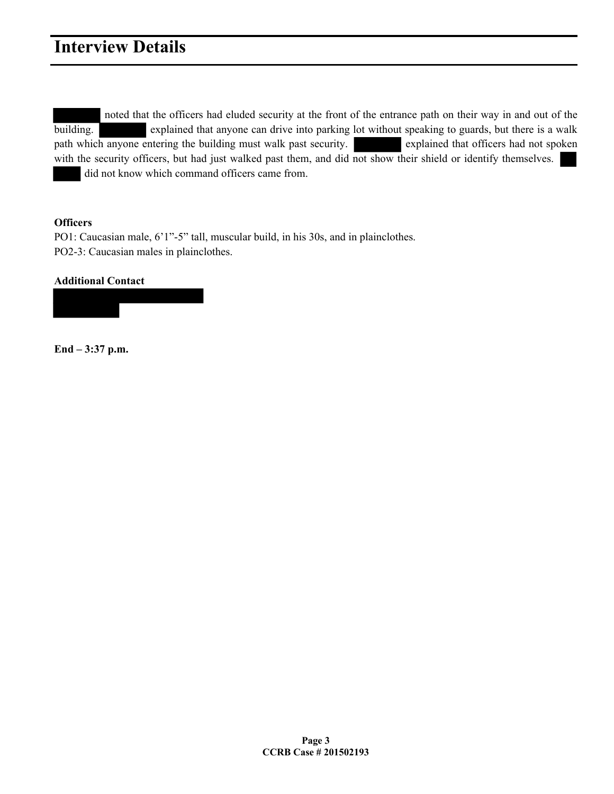noted that the officers had eluded security at the front of the entrance path on their way in and out of the building. explained that anyone can drive into parking lot without speaking to guards, but there is a walk path which anyone entering the building must walk past security. explained that officers had not spoken with the security officers, but had just walked past them, and did not show their shield or identify themselves. did not know which command officers came from.

## **Officers**

PO1: Caucasian male, 6'1"-5" tall, muscular build, in his 30s, and in plainclothes. PO2-3: Caucasian males in plainclothes.

## **Additional Contact**



**End – 3:37 p.m.**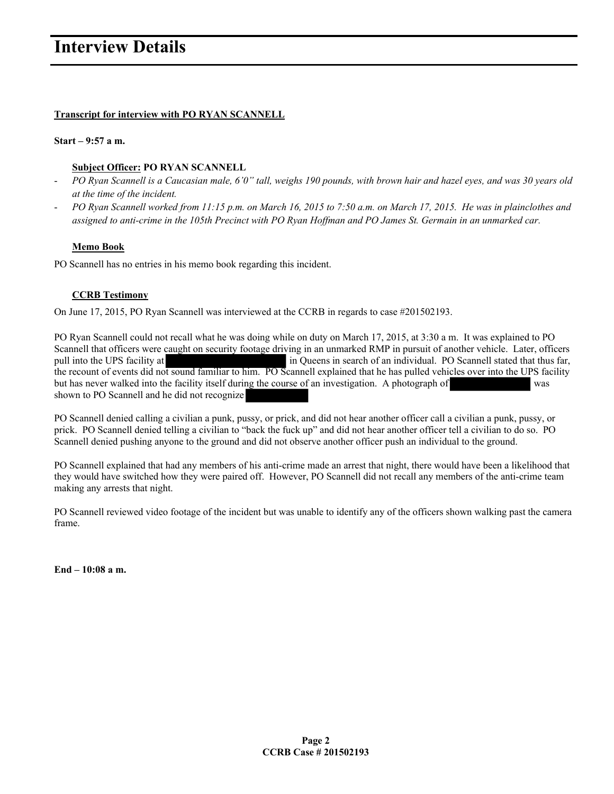## **Transcript for interview with PO RYAN SCANNELL**

### **Start – 9:57 a m.**

## **Subject Officer: PO RYAN SCANNELL**

- *PO Ryan Scannell is a Caucasian male, 6'0" tall, weighs 190 pounds, with brown hair and hazel eyes, and was 30 years old at the time of the incident.*
- *PO Ryan Scannell worked from 11:15 p.m. on March 16, 2015 to 7:50 a.m. on March 17, 2015. He was in plainclothes and assigned to anti-crime in the 105th Precinct with PO Ryan Hoffman and PO James St. Germain in an unmarked car.*

## **Memo Book**

PO Scannell has no entries in his memo book regarding this incident.

## **CCRB Testimony**

On June 17, 2015, PO Ryan Scannell was interviewed at the CCRB in regards to case #201502193.

PO Ryan Scannell could not recall what he was doing while on duty on March 17, 2015, at 3:30 a m. It was explained to PO Scannell that officers were caught on security footage driving in an unmarked RMP in pursuit of another vehicle. Later, officers pull into the UPS facility at in Queens in search of an individual. PO Scannell stated that thus far, the recount of events did not sound familiar to him. PO Scannell explained that he has pulled vehicles over into the UPS facility but has never walked into the facility itself during the course of an investigation. A photograph of was shown to PO Scannell and he did not recognize

PO Scannell denied calling a civilian a punk, pussy, or prick, and did not hear another officer call a civilian a punk, pussy, or prick. PO Scannell denied telling a civilian to "back the fuck up" and did not hear another officer tell a civilian to do so. PO Scannell denied pushing anyone to the ground and did not observe another officer push an individual to the ground.

PO Scannell explained that had any members of his anti-crime made an arrest that night, there would have been a likelihood that they would have switched how they were paired off. However, PO Scannell did not recall any members of the anti-crime team making any arrests that night.

PO Scannell reviewed video footage of the incident but was unable to identify any of the officers shown walking past the camera frame.

**End – 10:08 a m.**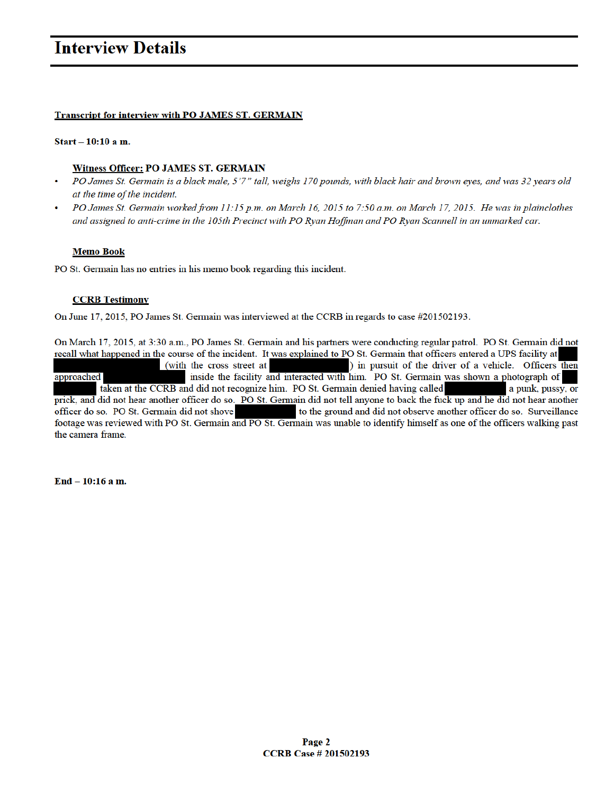#### **Transcript for interview with PO JAMES ST. GERMAIN**

#### $Start - 10:10$  a m.

#### **Witness Officer: PO JAMES ST. GERMAIN**

- PO James St. Germain is a black male, 5'7" tall, weighs 170 pounds, with black hair and brown eyes, and was 32 years old at the time of the incident.
- PO James St. Germain worked from 11:15 p.m. on March 16, 2015 to 7:50 a.m. on March 17, 2015. He was in plainclothes and assigned to anti-crime in the 105th Precinct with PO Ryan Hoffman and PO Ryan Scannell in an unmarked car.

#### **Memo Book**

PO St. Germain has no entries in his memo book regarding this incident.

#### **CCRB** Testimony

On June 17, 2015, PO James St. Germain was interviewed at the CCRB in regards to case #201502193.

On March 17, 2015, at 3:30 a.m., PO James St. Germain and his partners were conducting regular patrol. PO St. Germain did not recall what happened in the course of the incident. It was explained to PO St. Germain that officers entered a UPS facility at ) in pursuit of the driver of a vehicle. Officers then (with the cross street at inside the facility and interacted with him. PO St. Germain was shown a photograph of approached taken at the CCRB and did not recognize him. PO St. Germain denied having called a punk, pussy, or prick, and did not hear another officer do so. PO St. Germain did not tell anyone to back the fuck up and he did not hear another officer do so. PO St. Germain did not shove to the ground and did not observe another officer do so. Surveillance footage was reviewed with PO St. Germain and PO St. Germain was unable to identify himself as one of the officers walking past the camera frame.

End - 10:16 a m.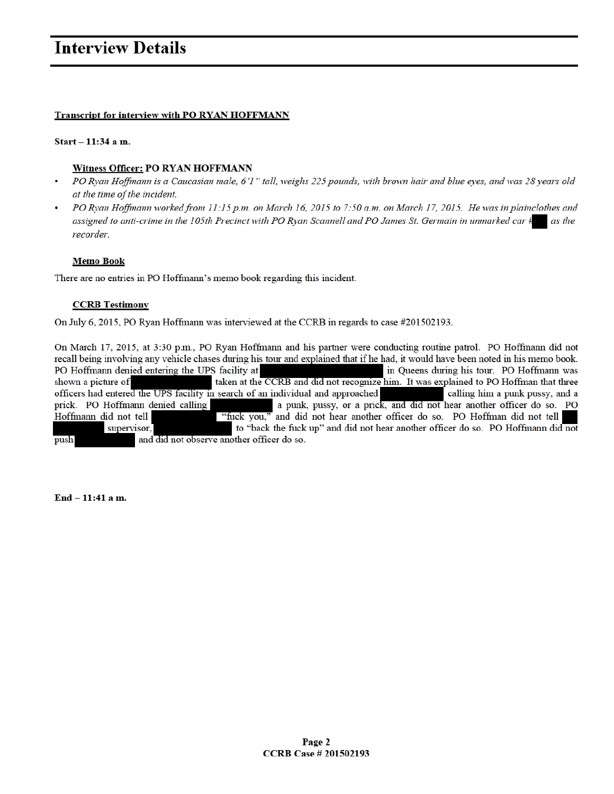### **Transcript for interview with PO RYAN HOFFMANN**

#### Start - 11:34 a m.

#### **Witness Officer: PO RYAN HOFFMANN**

- PO Ryan Hoffmann is a Caucasian male, 6'1" tall, weighs 225 pounds, with brown hair and blue eyes, and was 28 years old at the time of the incident.
- PO Ryan Hoffmann worked from 11:15 p.m. on March 16, 2015 to 7:50 a.m. on March 17, 2015. He was in plainclothes and assigned to anti-crime in the 105th Precinct with PO Ryan Scannell and PO James St. Germain in unmarked car  $\ddagger$ as the recorder.

#### **Memo Book**

There are no entries in PO Hoffmann's memo book regarding this incident.

#### **CCRB** Testimony

On July 6, 2015, PO Ryan Hoffmann was interviewed at the CCRB in regards to case #201502193.

On March 17, 2015, at 3:30 p.m., PO Ryan Hoffmann and his partner were conducting routine patrol. PO Hoffmann did not recall being involving any vehicle chases during his tour and explained that if he had, it would have been noted in his memo book. PO Hoffmann denied entering the UPS facility at in Queens during his tour. PO Hoffmann was taken at the CCRB and did not recognize him. It was explained to PO Hoffman that three shown a picture of officers had entered the UPS facility in search of an individual and approached calling him a punk pussy, and a a punk, pussy, or a prick, and did not hear another officer do so. PO prick. PO Hoffmann denied calling "fuck you," and did not hear another officer do so. PO Hoffman did not tell Hoffmann did not tell supervisor, to "back the fuck up" and did not hear another officer do so. PO Hoffmann did not push and did not observe another officer do so.

End - 11:41 a m.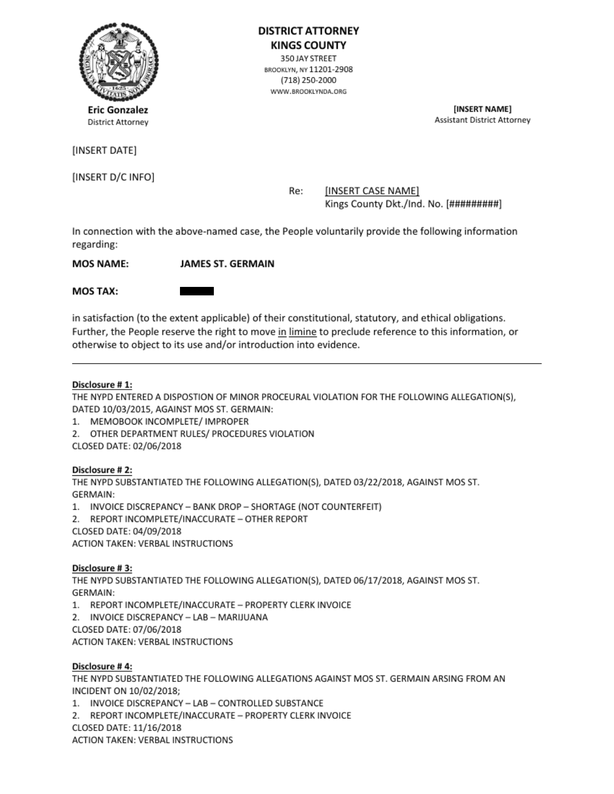

(INSERT DATE]

(INSERT D/C INFO]

BROOKLYN, NY 11201-2908 ¢ (15) 250:2000

WWW.BROOKLYNDA.ORG

Eric Gonzalez (Washington Controller and Theorem 2018) District Attorney Assistant District Attomey.

Re: [INSERT CASE NAME] Kings County Dkt./Ind. No. [#########]

In connection with the above-named case, the People voluntarily provide the following information MOS TAX: regarding:

MOS NAME: JAMES ST. GERMAIN

in satisfaction (to the extent applicable) of their constitutional, statutory, and ethical obligations. Further, the People reserve the right to move in limine to preclude reference to this information, or otherwise to object to its use and/or introduction into evidence.

## Disclosure #1:

'THE NYPD ENTERED A DISPOSTION OF MINOR PROCEURAL VIOLATION FOR THE FOLLOWING ALLEGATIONS), DATED 10/03/2015, AGAINST MOSST. GERMAIN:

1. MEMOBOOK INCOMPLETE/ IMPROPER

2. OTHER DEPARTMENT RULES/ PROCEDURES VIOLATION

CLOSED DATE: 02/06/2018

## Disclosure #2:

'THE NYPD SUBSTANTIATED THE FOLLOWING ALLEGATION(S), DATED 03/22/2018, AGAINST MOS ST. GERMAIN:

1. INVOICE DISCREPANCY - BANK DROP - SHORTAGE (NOT COUNTERFEIT)

2. REPORT INCOMPLETE/INACCURATE - OTHER REPORT

CLOSED DATE: 04/09/2018

ACTION TAKEN: VERBAL INSTRUCTIONS

# Disclosure #3:

THE NYPD SUBSTANTIATED THE FOLLOWING ALLEGATION(S), DATED 06/17/2018, AGAINST MOS ST. GERMAIN:

GERMAIN:<br>1. REPORT INCOMPLETE/INACCURATE – PROPERTY CLERK INVOICE<br>2. INVOICE DISCREPANCY – LAB – MARIJUANA

CLOSED DATE: 07/06/2018

ACTION TAKEN: VERBAL INSTRUCTIONS

## Disclosure #4:

THE NYPD SUBSTANTIATED THE FOLLOWING ALLEGATIONS AGAINST MOS ST. GERMAIN ARSING FROM AN<br>INCIDENT ON 10/02/2018;<br>1. INVOICE DISCREPANCY — LAB — CONTROLLED SUBSTANCE INCIDENT ON 10/02/2018;

1. INVOICE DISCREPANCY - LAB - CONTROLLED SUBSTANCE<br>2. REPORT INCOMPLETE/INACCURATE - PROPERTY CLERK INVOICE

CLOSED DATE: 11/16/2018

ACTION TAKEN: VERBAL INSTRUCTIONS